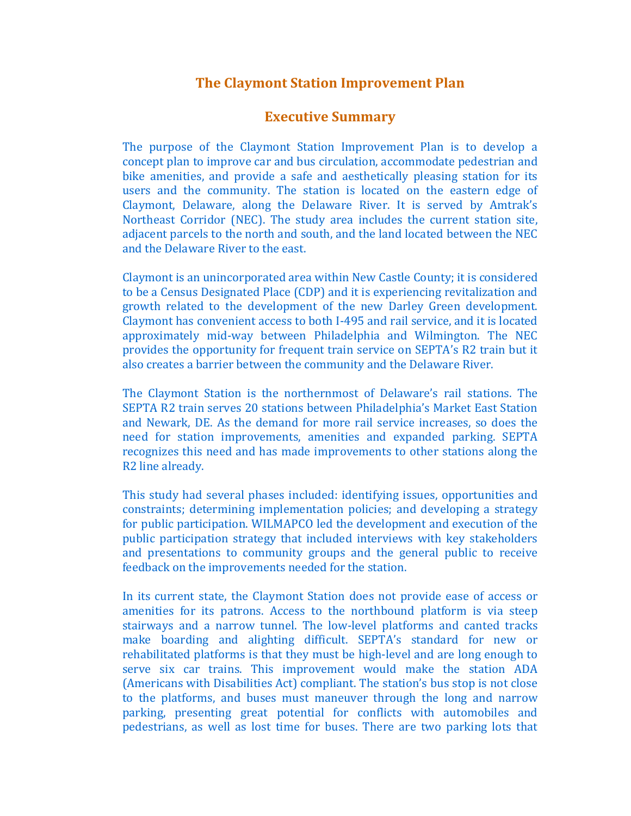## **The Claymont Station Improvement Plan**

## **Executive Summary**

The purpose of the Claymont Station Improvement Plan is to develop a concept plan to improve car and bus circulation, accommodate pedestrian and bike amenities, and provide a safe and aesthetically pleasing station for its users and the community. The station is located on the eastern edge of Claymont, Delaware, along the Delaware River. It is served by Amtrak's Northeast Corridor (NEC). The study area includes the current station site, adjacent parcels to the north and south, and the land located between the NEC and the Delaware River to the east.

Claymont is an unincorporated area within New Castle County; it is considered to be a Census Designated Place (CDP) and it is experiencing revitalization and growth related to the development of the new Darley Green development. Claymont has convenient access to both I‐495 and rail service, and it is located approximately mid‐way between Philadelphia and Wilmington. The NEC provides the opportunity for frequent train service on SEPTA's R2 train but it also creates a barrier between the community and the Delaware River.

The Claymont Station is the northernmost of Delaware's rail stations. The SEPTA R2 train serves 20 stations between Philadelphia's Market East Station and Newark, DE. As the demand for more rail service increases, so does the need for station improvements, amenities and expanded parking. SEPTA recognizes this need and has made improvements to other stations along the R2 line already.

This study had several phases included: identifying issues, opportunities and constraints; determining implementation policies; and developing a strategy for public participation. WILMAPCO led the development and execution of the public participation strategy that included interviews with key stakeholders and presentations to community groups and the general public to receive feedback on the improvements needed for the station.

In its current state, the Claymont Station does not provide ease of access or amenities for its patrons. Access to the northbound platform is via steep stairways and a narrow tunnel. The low-level platforms and canted tracks make boarding and alighting difficult. SEPTA's standard for new or rehabilitated platforms is that they must be high‐level and are long enough to serve six car trains. This improvement would make the station ADA (Americans with Disabilities Act) compliant. The station's bus stop is not close to the platforms, and buses must maneuver through the long and narrow parking, presenting great potential for conflicts with automobiles and pedestrians, as well as lost time for buses. There are two parking lots that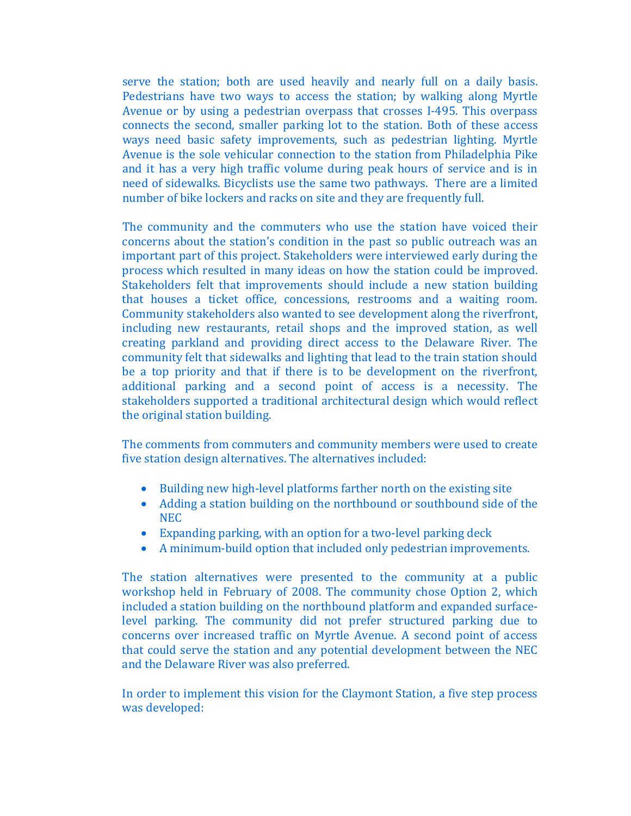serve the station; both are used heavily and nearly full on a daily basis. Pedestrians have two ways to access the station; by walking along Myrtle Avenue or by using a pedestrian overpass that crosses I‐495. This overpass connects the second, smaller parking lot to the station. Both of these access ways need basic safety improvements, such as pedestrian lighting. Myrtle Avenue is the sole vehicular connection to the station from Philadelphia Pike and it has a very high traffic volume during peak hours of service and is in need of sidewalks. Bicyclists use the same two pathways. There are a limited number of bike lockers and racks on site and they are frequently full.

The community and the commuters who use the station have voiced their concerns about the station's condition in the past so public outreach was an important part of this project. Stakeholders were interviewed early during the process which resulted in many ideas on how the station could be improved. Stakeholders felt that improvements should include a new station building that houses a ticket office, concessions, restrooms and a waiting room. Community stakeholders also wanted to see development along the riverfront, including new restaurants, retail shops and the improved station, as well creating parkland and providing direct access to the Delaware River. The community felt that sidewalks and lighting that lead to the train station should be a top priority and that if there is to be development on the riverfront, additional parking and a second point of access is a necessity. The stakeholders supported a traditional architectural design which would reflect the original station building.

The comments from commuters and community members were used to create five station design alternatives. The alternatives included:

- Building new high-level platforms farther north on the existing site
- Adding a station building on the northbound or southbound side of the NEC
- Expanding parking, with an option for a two‐level parking deck
- A minimum-build option that included only pedestrian improvements.

The station alternatives were presented to the community at a public workshop held in February of 2008. The community chose Option 2, which included a station building on the northbound platform and expanded surface‐ level parking. The community did not prefer structured parking due to concerns over increased traffic on Myrtle Avenue. A second point of access that could serve the station and any potential development between the NEC and the Delaware River was also preferred.

In order to implement this vision for the Claymont Station, a five step process was developed: